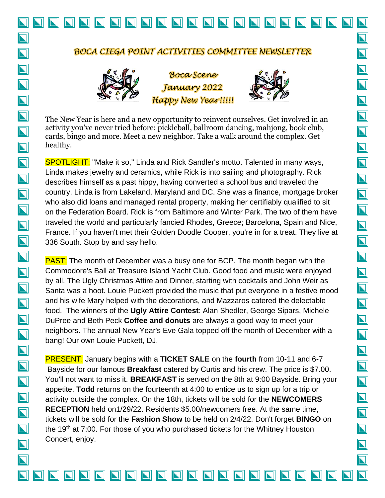## NNNNNNNNNNNNNNNNNNNNNN

## *BOCA CIEGA POINT ACTIVITIES COMMITTEE NEWSLETTER*



*Boca Scene January 2022 Happy New Year!!!!!*



The New Year is here and a new opportunity to reinvent ourselves. Get involved in an activity you've never tried before: pickleball, ballroom dancing, mahjong, book club, cards, bingo and more. Meet a new neighbor. Take a walk around the complex. Get healthy.

**SPOTLIGHT:** "Make it so," Linda and Rick Sandler's motto. Talented in many ways, Linda makes jewelry and ceramics, while Rick is into sailing and photography. Rick describes himself as a past hippy, having converted a school bus and traveled the country. Linda is from Lakeland, Maryland and DC. She was a finance, mortgage broker who also did loans and managed rental property, making her certifiably qualified to sit on the Federation Board. Rick is from Baltimore and Winter Park. The two of them have traveled the world and particularly fancied Rhodes, Greece; Barcelona, Spain and Nice, France. If you haven't met their Golden Doodle Cooper, you're in for a treat. They live at 336 South. Stop by and say hello.

**PAST:** The month of December was a busy one for BCP. The month began with the Commodore's Ball at Treasure Island Yacht Club. Good food and music were enjoyed by all. The Ugly Christmas Attire and Dinner, starting with cocktails and John Weir as Santa was a hoot. Louie Puckett provided the music that put everyone in a festive mood and his wife Mary helped with the decorations, and Mazzaros catered the delectable food. The winners of the **Ugly Attire Contest**: Alan Shedler, George Sipars, Michele DuPree and Beth Peck **Coffee and donuts** are always a good way to meet your neighbors. The annual New Year's Eve Gala topped off the month of December with a bang! Our own Louie Puckett, DJ.

PRESENT: January begins with a **TICKET SALE** on the **fourth** from 10-11 and 6-7 Bayside for our famous **Breakfast** catered by Curtis and his crew. The price is \$7.00. You'll not want to miss it. **BREAKFAST** is served on the 8th at 9:00 Bayside. Bring your appetite. **Todd** returns on the fourteenth at 4:00 to entice us to sign up for a trip or activity outside the complex. On the 18th, tickets will be sold for the **NEWCOMERS RECEPTION** held on1/29/22. Residents \$5.00/newcomers free. At the same time, tickets will be sold for the **Fashion Show** to be held on 2/4/22. Don't forget **BINGO** on the 19<sup>th</sup> at 7:00. For those of you who purchased tickets for the Whitney Houston Concert, enjoy.